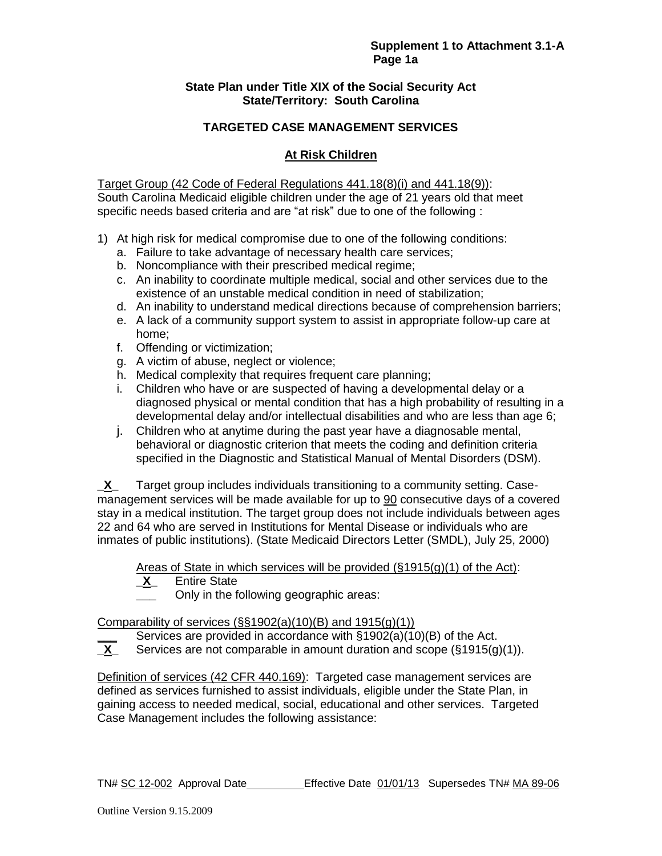#### **State Plan under Title XIX of the Social Security Act State/Territory: South Carolina**

# **TARGETED CASE MANAGEMENT SERVICES**

# **At Risk Children**

Target Group (42 Code of Federal Regulations 441.18(8)(i) and 441.18(9)): South Carolina Medicaid eligible children under the age of 21 years old that meet specific needs based criteria and are "at risk" due to one of the following :

- 1) At high risk for medical compromise due to one of the following conditions:
	- a. Failure to take advantage of necessary health care services;
	- b. Noncompliance with their prescribed medical regime;
	- c. An inability to coordinate multiple medical, social and other services due to the existence of an unstable medical condition in need of stabilization;
	- d. An inability to understand medical directions because of comprehension barriers;
	- e. A lack of a community support system to assist in appropriate follow-up care at home;
	- f. Offending or victimization;
	- g. A victim of abuse, neglect or violence;
	- h. Medical complexity that requires frequent care planning;
	- i. Children who have or are suspected of having a developmental delay or a diagnosed physical or mental condition that has a high probability of resulting in a developmental delay and/or intellectual disabilities and who are less than age 6;
	- j. Children who at anytime during the past year have a diagnosable mental, behavioral or diagnostic criterion that meets the coding and definition criteria specified in the Diagnostic and Statistical Manual of Mental Disorders (DSM).

**\_X\_** Target group includes individuals transitioning to a community setting. Casemanagement services will be made available for up to 90 consecutive days of a covered stay in a medical institution. The target group does not include individuals between ages 22 and 64 who are served in Institutions for Mental Disease or individuals who are inmates of public institutions). (State Medicaid Directors Letter (SMDL), July 25, 2000)

Areas of State in which services will be provided  $(\S 1915(g)(1)$  of the Act):<br>
X Entire State

- **Entire State** 
	- **\_\_\_** Only in the following geographic areas:

#### Comparability of services  $(\frac{6}{5}1902(a)(10)(B)$  and  $1915(q)(1))$

- Services are provided in accordance with §1902(a)(10)(B) of the Act.
- **\_X\_** Services are not comparable in amount duration and scope (§1915(g)(1)).

Definition of services (42 CFR 440.169): Targeted case management services are defined as services furnished to assist individuals, eligible under the State Plan, in gaining access to needed medical, social, educational and other services. Targeted Case Management includes the following assistance: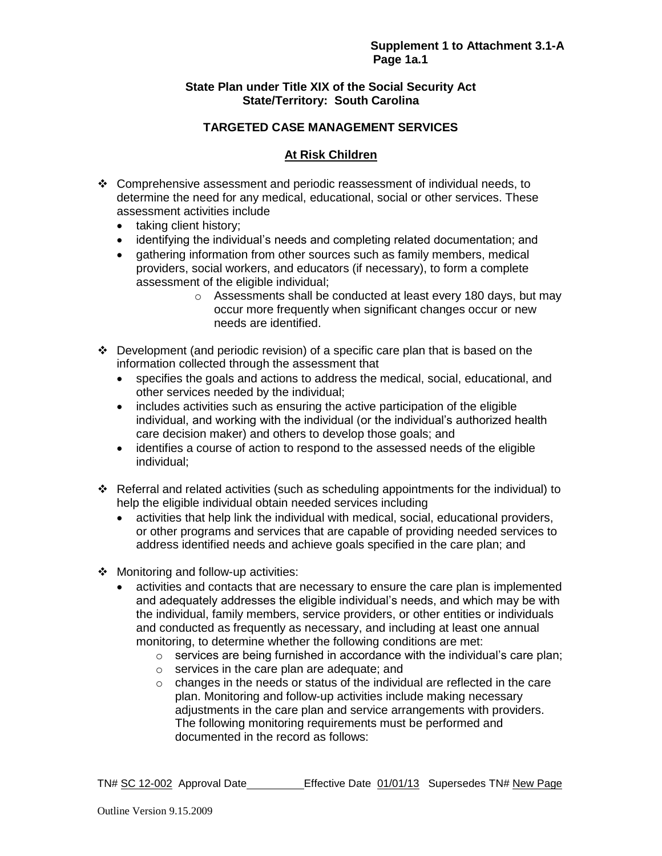### **State Plan under Title XIX of the Social Security Act State/Territory: South Carolina**

# **TARGETED CASE MANAGEMENT SERVICES**

# **At Risk Children**

- Comprehensive assessment and periodic reassessment of individual needs, to determine the need for any medical, educational, social or other services. These assessment activities include
	- taking client history;
	- identifying the individual's needs and completing related documentation; and
	- gathering information from other sources such as family members, medical providers, social workers, and educators (if necessary), to form a complete assessment of the eligible individual;
		- o Assessments shall be conducted at least every 180 days, but may occur more frequently when significant changes occur or new needs are identified.
- $\div$  Development (and periodic revision) of a specific care plan that is based on the information collected through the assessment that
	- specifies the goals and actions to address the medical, social, educational, and other services needed by the individual;
	- includes activities such as ensuring the active participation of the eligible individual, and working with the individual (or the individual's authorized health care decision maker) and others to develop those goals; and
	- identifies a course of action to respond to the assessed needs of the eligible individual;
- Referral and related activities (such as scheduling appointments for the individual) to help the eligible individual obtain needed services including
	- activities that help link the individual with medical, social, educational providers, or other programs and services that are capable of providing needed services to address identified needs and achieve goals specified in the care plan; and
- ❖ Monitoring and follow-up activities:
	- activities and contacts that are necessary to ensure the care plan is implemented and adequately addresses the eligible individual's needs, and which may be with the individual, family members, service providers, or other entities or individuals and conducted as frequently as necessary, and including at least one annual monitoring, to determine whether the following conditions are met:
		- $\circ$  services are being furnished in accordance with the individual's care plan;
		- o services in the care plan are adequate; and
		- o changes in the needs or status of the individual are reflected in the care plan. Monitoring and follow-up activities include making necessary adjustments in the care plan and service arrangements with providers. The following monitoring requirements must be performed and documented in the record as follows: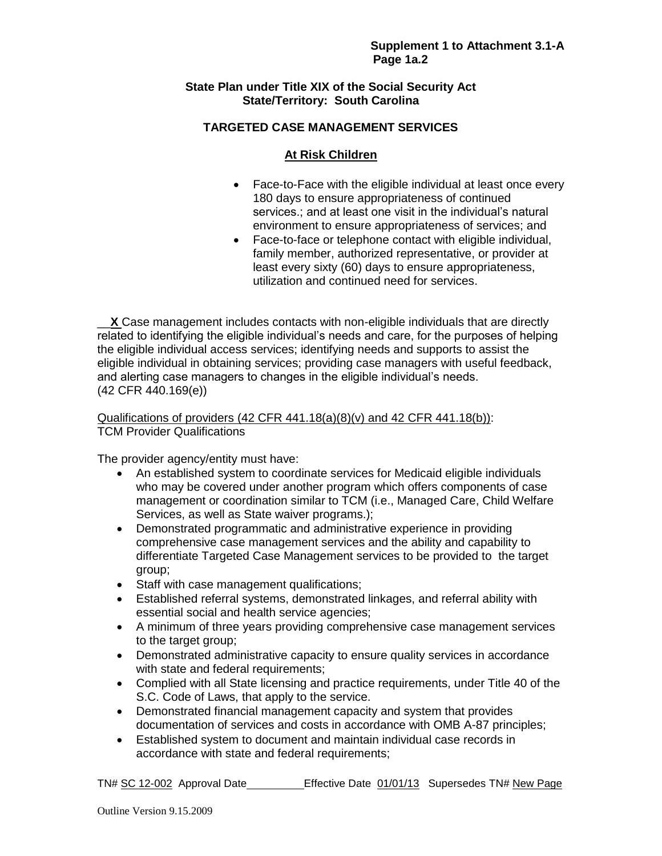# **State Plan under Title XIX of the Social Security Act State/Territory: South Carolina**

# **TARGETED CASE MANAGEMENT SERVICES**

# **At Risk Children**

- Face-to-Face with the eligible individual at least once every 180 days to ensure appropriateness of continued services.; and at least one visit in the individual's natural environment to ensure appropriateness of services; and
- Face-to-face or telephone contact with eligible individual, family member, authorized representative, or provider at least every sixty (60) days to ensure appropriateness, utilization and continued need for services.

\_\_**X** Case management includes contacts with non-eligible individuals that are directly related to identifying the eligible individual's needs and care, for the purposes of helping the eligible individual access services; identifying needs and supports to assist the eligible individual in obtaining services; providing case managers with useful feedback, and alerting case managers to changes in the eligible individual's needs. (42 CFR 440.169(e))

# Qualifications of providers (42 CFR 441.18(a)(8)(v) and 42 CFR 441.18(b)): TCM Provider Qualifications

The provider agency/entity must have:

- An established system to coordinate services for Medicaid eligible individuals who may be covered under another program which offers components of case management or coordination similar to TCM (i.e., Managed Care, Child Welfare Services, as well as State waiver programs.);
- Demonstrated programmatic and administrative experience in providing comprehensive case management services and the ability and capability to differentiate Targeted Case Management services to be provided to the target group;
- Staff with case management qualifications;
- Established referral systems, demonstrated linkages, and referral ability with essential social and health service agencies;
- A minimum of three years providing comprehensive case management services to the target group;
- Demonstrated administrative capacity to ensure quality services in accordance with state and federal requirements;
- Complied with all State licensing and practice requirements, under Title 40 of the S.C. Code of Laws, that apply to the service.
- Demonstrated financial management capacity and system that provides documentation of services and costs in accordance with OMB A-87 principles;
- Established system to document and maintain individual case records in accordance with state and federal requirements;

```
TN# SC 12-002 Approval Date Effective Date 01/01/13 Supersedes TN# New Page
```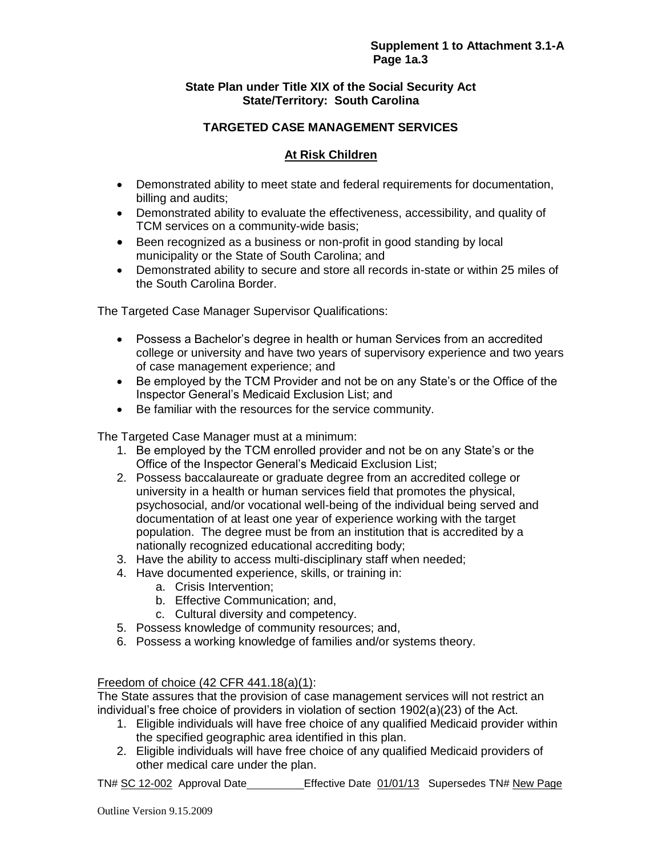# **State Plan under Title XIX of the Social Security Act State/Territory: South Carolina**

# **TARGETED CASE MANAGEMENT SERVICES**

# **At Risk Children**

- Demonstrated ability to meet state and federal requirements for documentation, billing and audits;
- Demonstrated ability to evaluate the effectiveness, accessibility, and quality of TCM services on a community-wide basis;
- Been recognized as a business or non-profit in good standing by local municipality or the State of South Carolina; and
- Demonstrated ability to secure and store all records in-state or within 25 miles of the South Carolina Border.

The Targeted Case Manager Supervisor Qualifications:

- Possess a Bachelor's degree in health or human Services from an accredited college or university and have two years of supervisory experience and two years of case management experience; and
- Be employed by the TCM Provider and not be on any State's or the Office of the Inspector General's Medicaid Exclusion List; and
- Be familiar with the resources for the service community.

The Targeted Case Manager must at a minimum:

- 1. Be employed by the TCM enrolled provider and not be on any State's or the Office of the Inspector General's Medicaid Exclusion List;
- 2. Possess baccalaureate or graduate degree from an accredited college or university in a health or human services field that promotes the physical, psychosocial, and/or vocational well-being of the individual being served and documentation of at least one year of experience working with the target population. The degree must be from an institution that is accredited by a nationally recognized educational accrediting body;
- 3. Have the ability to access multi-disciplinary staff when needed;
- 4. Have documented experience, skills, or training in:
	- a. Crisis Intervention;
	- b. Effective Communication; and,
	- c. Cultural diversity and competency.
- 5. Possess knowledge of community resources; and,
- 6. Possess a working knowledge of families and/or systems theory.

### Freedom of choice (42 CFR 441.18(a)(1):

The State assures that the provision of case management services will not restrict an individual's free choice of providers in violation of section 1902(a)(23) of the Act.

- 1. Eligible individuals will have free choice of any qualified Medicaid provider within the specified geographic area identified in this plan.
- 2. Eligible individuals will have free choice of any qualified Medicaid providers of other medical care under the plan.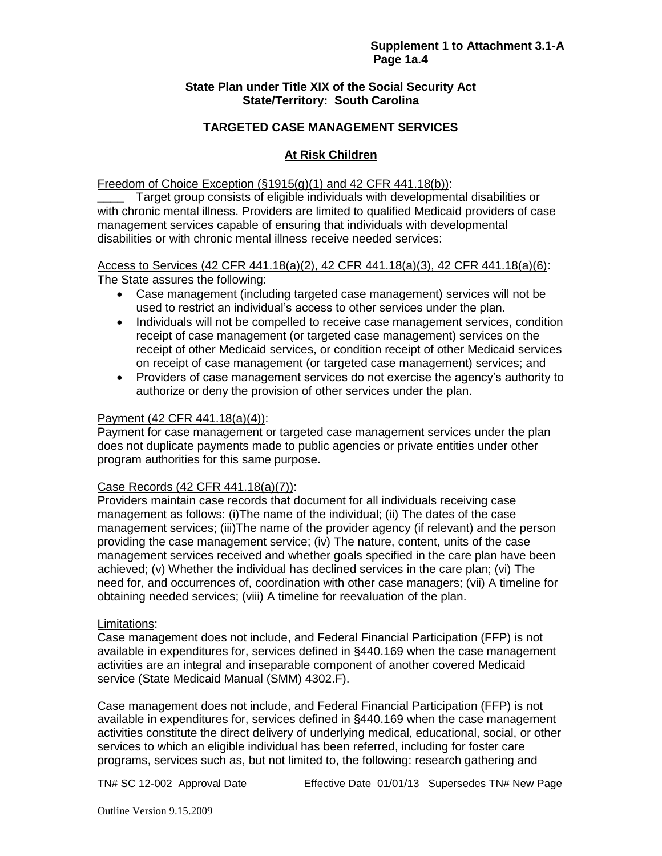#### **State Plan under Title XIX of the Social Security Act State/Territory: South Carolina**

### **TARGETED CASE MANAGEMENT SERVICES**

# **At Risk Children**

#### Freedom of Choice Exception  $(\S1915(q)(1)$  and 42 CFR 441.18(b)):

**\_\_\_\_** Target group consists of eligible individuals with developmental disabilities or with chronic mental illness. Providers are limited to qualified Medicaid providers of case management services capable of ensuring that individuals with developmental disabilities or with chronic mental illness receive needed services:

# Access to Services (42 CFR 441.18(a)(2), 42 CFR 441.18(a)(3), 42 CFR 441.18(a)(6):

The State assures the following:

- Case management (including targeted case management) services will not be used to restrict an individual's access to other services under the plan.
- Individuals will not be compelled to receive case management services, condition receipt of case management (or targeted case management) services on the receipt of other Medicaid services, or condition receipt of other Medicaid services on receipt of case management (or targeted case management) services; and
- Providers of case management services do not exercise the agency's authority to authorize or deny the provision of other services under the plan.

#### Payment (42 CFR 441.18(a)(4)):

Payment for case management or targeted case management services under the plan does not duplicate payments made to public agencies or private entities under other program authorities for this same purpose**.** 

### Case Records (42 CFR 441.18(a)(7)):

Providers maintain case records that document for all individuals receiving case management as follows: (i)The name of the individual; (ii) The dates of the case management services; (iii)The name of the provider agency (if relevant) and the person providing the case management service; (iv) The nature, content, units of the case management services received and whether goals specified in the care plan have been achieved; (v) Whether the individual has declined services in the care plan; (vi) The need for, and occurrences of, coordination with other case managers; (vii) A timeline for obtaining needed services; (viii) A timeline for reevaluation of the plan.

### Limitations:

Case management does not include, and Federal Financial Participation (FFP) is not available in expenditures for, services defined in §440.169 when the case management activities are an integral and inseparable component of another covered Medicaid service (State Medicaid Manual (SMM) 4302.F).

Case management does not include, and Federal Financial Participation (FFP) is not available in expenditures for, services defined in §440.169 when the case management activities constitute the direct delivery of underlying medical, educational, social, or other services to which an eligible individual has been referred, including for foster care programs, services such as, but not limited to, the following: research gathering and